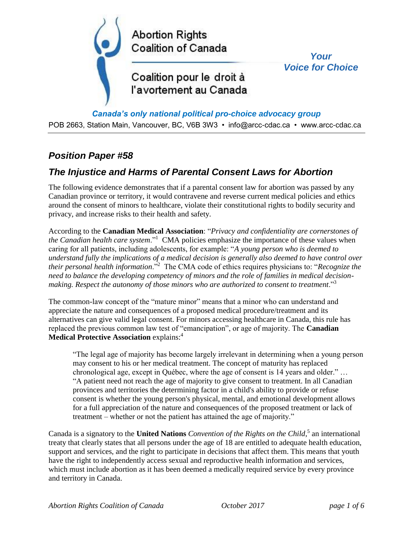

*Canada's only national political pro-choice advocacy group*

POB 2663, Station Main, Vancouver, BC, V6B 3W3 • info@arcc-cdac.ca • www.arcc-cdac.ca

## *Position Paper #58*

## *The Injustice and Harms of Parental Consent Laws for Abortion*

The following evidence demonstrates that if a parental consent law for abortion was passed by any Canadian province or territory, it would contravene and reverse current medical policies and ethics around the consent of minors to healthcare, violate their constitutional rights to bodily security and privacy, and increase risks to their health and safety.

According to the **Canadian Medical Association**: "*Privacy and confidentiality are cornerstones of the Canadian health care system*."<sup>1</sup> CMA policies emphasize the importance of these values when caring for all patients, including adolescents, for example: "*A young person who is deemed to understand fully the implications of a medical decision is generally also deemed to have control over their personal health information*."<sup>2</sup> The CMA code of ethics requires physicians to: "*Recognize the need to balance the developing competency of minors and the role of families in medical decisionmaking. Respect the autonomy of those minors who are authorized to consent to treatment*."<sup>3</sup>

The common-law concept of the "mature minor" means that a minor who can understand and appreciate the nature and consequences of a proposed medical procedure/treatment and its alternatives can give valid legal consent. For minors accessing healthcare in Canada, this rule has replaced the previous common law test of "emancipation", or age of majority. The **Canadian Medical Protective Association** explains:<sup>4</sup>

"The legal age of majority has become largely irrelevant in determining when a young person may consent to his or her medical treatment. The concept of maturity has replaced chronological age, except in Québec, where the age of consent is 14 years and older." … "A patient need not reach the age of majority to give consent to treatment. In all Canadian provinces and territories the determining factor in a child's ability to provide or refuse consent is whether the young person's physical, mental, and emotional development allows for a full appreciation of the nature and consequences of the proposed treatment or lack of treatment – whether or not the patient has attained the age of majority."

Canada is a signatory to the **United Nations** *Convention of the Rights on the Child*, 5 an international treaty that clearly states that all persons under the age of 18 are entitled to adequate health education, support and services, and the right to participate in decisions that affect them. This means that youth have the right to independently access sexual and reproductive health information and services, which must include abortion as it has been deemed a medically required service by every province and territory in Canada.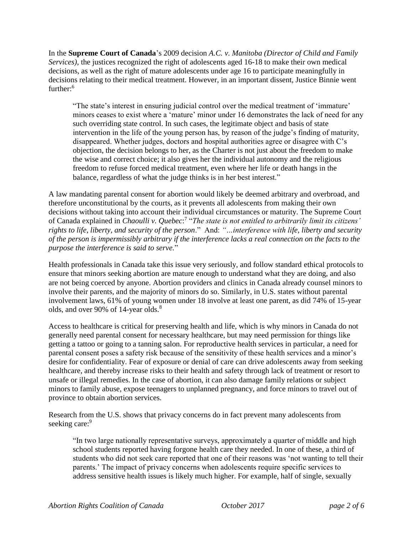In the **Supreme Court of Canada**'s 2009 decision *A.C. v. Manitoba (Director of Child and Family Services),* the justices recognized the right of adolescents aged 16-18 to make their own medical decisions, as well as the right of mature adolescents under age 16 to participate meaningfully in decisions relating to their medical treatment. However, in an important dissent, Justice Binnie went further:<sup>6</sup>

"The state's interest in ensuring judicial control over the medical treatment of 'immature' minors ceases to exist where a 'mature' minor under 16 demonstrates the lack of need for any such overriding state control. In such cases, the legitimate object and basis of state intervention in the life of the young person has, by reason of the judge's finding of maturity, disappeared. Whether judges, doctors and hospital authorities agree or disagree with C's objection, the decision belongs to her, as the Charter is not just about the freedom to make the wise and correct choice; it also gives her the individual autonomy and the religious freedom to refuse forced medical treatment, even where her life or death hangs in the balance, regardless of what the judge thinks is in her best interest."

A law mandating parental consent for abortion would likely be deemed arbitrary and overbroad, and therefore unconstitutional by the courts, as it prevents all adolescents from making their own decisions without taking into account their individual circumstances or maturity. The Supreme Court of Canada explained in *Chaoulli v. Quebec*: 7 "*The state is not entitled to arbitrarily limit its citizens' rights to life, liberty, and security of the person*." And: *"…interference with life, liberty and security of the person is impermissibly arbitrary if the interference lacks a real connection on the facts to the purpose the interference is said to serve.*"

Health professionals in Canada take this issue very seriously, and follow standard ethical protocols to ensure that minors seeking abortion are mature enough to understand what they are doing, and also are not being coerced by anyone. Abortion providers and clinics in Canada already counsel minors to involve their parents, and the majority of minors do so. Similarly, in U.S. states without parental involvement laws, 61% of young women under 18 involve at least one parent, as did 74% of 15-year olds, and over 90% of 14-year olds.<sup>8</sup>

Access to healthcare is critical for preserving health and life, which is why minors in Canada do not generally need parental consent for necessary healthcare, but may need permission for things like getting a tattoo or going to a tanning salon. For reproductive health services in particular, a need for parental consent poses a safety risk because of the sensitivity of these health services and a minor's desire for confidentiality. Fear of exposure or denial of care can drive adolescents away from seeking healthcare, and thereby increase risks to their health and safety through lack of treatment or resort to unsafe or illegal remedies. In the case of abortion, it can also damage family relations or subject minors to family abuse, expose teenagers to unplanned pregnancy, and force minors to travel out of province to obtain abortion services.

Research from the U.S. shows that privacy concerns do in fact prevent many adolescents from seeking care:<sup>9</sup>

"In two large nationally representative surveys, approximately a quarter of middle and high school students reported having forgone health care they needed. In one of these, a third of students who did not seek care reported that one of their reasons was 'not wanting to tell their parents.' The impact of privacy concerns when adolescents require specific services to address sensitive health issues is likely much higher. For example, half of single, sexually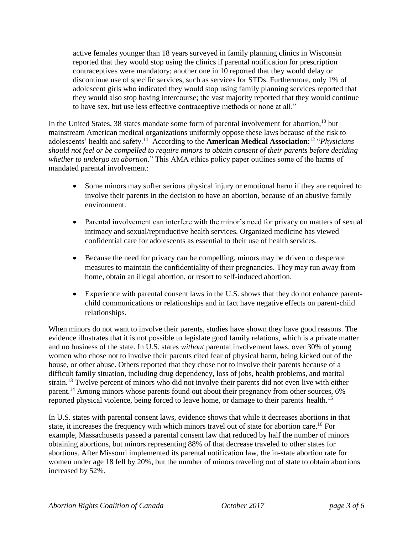active females younger than 18 years surveyed in family planning clinics in Wisconsin reported that they would stop using the clinics if parental notification for prescription contraceptives were mandatory; another one in 10 reported that they would delay or discontinue use of specific services, such as services for STDs. Furthermore, only 1% of adolescent girls who indicated they would stop using family planning services reported that they would also stop having intercourse; the vast majority reported that they would continue to have sex, but use less effective contraceptive methods or none at all."

In the United States, 38 states mandate some form of parental involvement for abortion,<sup>10</sup> but mainstream American medical organizations uniformly oppose these laws because of the risk to adolescents' health and safety.<sup>11</sup> According to the **American Medical Association**:<sup>12</sup> "*Physicians should not feel or be compelled to require minors to obtain consent of their parents before deciding whether to undergo an abortion*." This AMA ethics policy paper outlines some of the harms of mandated parental involvement:

- Some minors may suffer serious physical injury or emotional harm if they are required to involve their parents in the decision to have an abortion, because of an abusive family environment.
- Parental involvement can interfere with the minor's need for privacy on matters of sexual intimacy and sexual/reproductive health services. Organized medicine has viewed confidential care for adolescents as essential to their use of health services.
- Because the need for privacy can be compelling, minors may be driven to desperate measures to maintain the confidentiality of their pregnancies. They may run away from home, obtain an illegal abortion, or resort to self-induced abortion.
- Experience with parental consent laws in the U.S. shows that they do not enhance parentchild communications or relationships and in fact have negative effects on parent-child relationships.

When minors do not want to involve their parents, studies have shown they have good reasons. The evidence illustrates that it is not possible to legislate good family relations, which is a private matter and no business of the state. In U.S. states *without* parental involvement laws, over 30% of young women who chose not to involve their parents cited fear of physical harm, being kicked out of the house, or other abuse. Others reported that they chose not to involve their parents because of a difficult family situation, including drug dependency, loss of jobs, health problems, and marital strain.<sup>13</sup> Twelve percent of minors who did not involve their parents did not even live with either parent.<sup>14</sup> Among minors whose parents found out about their pregnancy from other sources, 6% reported physical violence, being forced to leave home, or damage to their parents' health.<sup>15</sup>

In U.S. states with parental consent laws, evidence shows that while it decreases abortions in that state, it increases the frequency with which minors travel out of state for abortion care. <sup>16</sup> For example, Massachusetts passed a parental consent law that reduced by half the number of minors obtaining abortions, but minors representing 88% of that decrease traveled to other states for abortions. After Missouri implemented its parental notification law, the in-state abortion rate for women under age 18 fell by 20%, but the number of minors traveling out of state to obtain abortions increased by 52%.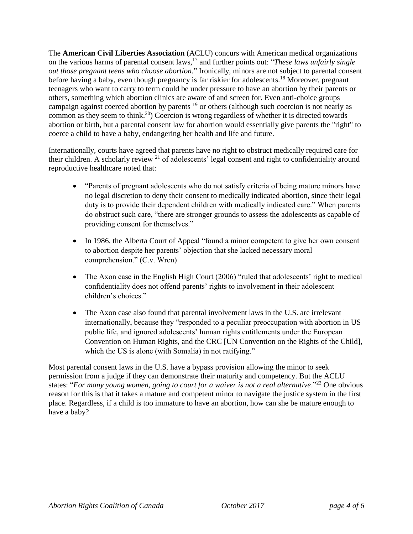The **American Civil Liberties Association** (ACLU) concurs with American medical organizations on the various harms of parental consent laws,<sup>17</sup> and further points out: "*These laws unfairly single out those pregnant teens who choose abortion.*" Ironically, minors are not subject to parental consent before having a baby, even though pregnancy is far riskier for adolescents.<sup>18</sup> Moreover, pregnant teenagers who want to carry to term could be under pressure to have an abortion by their parents or others, something which abortion clinics are aware of and screen for. Even anti-choice groups campaign against coerced abortion by parents <sup>19</sup> or others (although such coercion is not nearly as common as they seem to think.<sup>20</sup>) Coercion is wrong regardless of whether it is directed towards abortion or birth, but a parental consent law for abortion would essentially give parents the "right" to coerce a child to have a baby, endangering her health and life and future.

Internationally, courts have agreed that parents have no right to obstruct medically required care for their children. A scholarly review <sup>21</sup> of adolescents' legal consent and right to confidentiality around reproductive healthcare noted that:

- "Parents of pregnant adolescents who do not satisfy criteria of being mature minors have no legal discretion to deny their consent to medically indicated abortion, since their legal duty is to provide their dependent children with medically indicated care." When parents do obstruct such care, "there are stronger grounds to assess the adolescents as capable of providing consent for themselves."
- In 1986, the Alberta Court of Appeal "found a minor competent to give her own consent to abortion despite her parents' objection that she lacked necessary moral comprehension." (C.v. Wren)
- The Axon case in the English High Court (2006) "ruled that adolescents' right to medical confidentiality does not offend parents' rights to involvement in their adolescent children's choices."
- The Axon case also found that parental involvement laws in the U.S. are irrelevant internationally, because they "responded to a peculiar preoccupation with abortion in US public life, and ignored adolescents' human rights entitlements under the European Convention on Human Rights, and the CRC [UN Convention on the Rights of the Child], which the US is alone (with Somalia) in not ratifying."

Most parental consent laws in the U.S. have a bypass provision allowing the minor to seek permission from a judge if they can demonstrate their maturity and competency. But the ACLU states: "For many young women, going to court for a waiver is not a real alternative."<sup>22</sup> One obvious reason for this is that it takes a mature and competent minor to navigate the justice system in the first place. Regardless, if a child is too immature to have an abortion, how can she be mature enough to have a baby?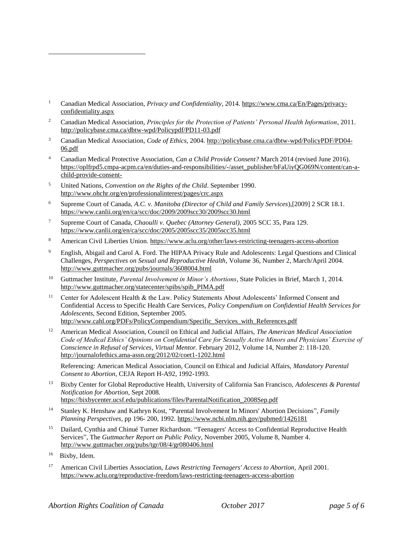- <sup>1</sup> Canadian Medical Association, *Privacy and Confidentiality*, 2014. [https://www.cma.ca/En/Pages/privacy](https://www.cma.ca/En/Pages/privacy-confidentiality.aspx)[confidentiality.aspx](https://www.cma.ca/En/Pages/privacy-confidentiality.aspx)
- <sup>2</sup> Canadian Medical Association, *Principles for the Protection of Patients' Personal Health Information*, 2011. <http://policybase.cma.ca/dbtw-wpd/Policypdf/PD11-03.pdf>
- <sup>3</sup> Canadian Medical Association, *Code of Ethics,* 2004[. http://policybase.cma.ca/dbtw-wpd/PolicyPDF/PD04-](http://policybase.cma.ca/dbtw-wpd/PolicyPDF/PD04-06.pdf) [06.pdf](http://policybase.cma.ca/dbtw-wpd/PolicyPDF/PD04-06.pdf)
- <sup>4</sup> Canadian Medical Protective Association, *Can a Child Provide Consent?* March 2014 (revised June 2016). [https://oplfrpd5.cmpa-acpm.ca/en/duties-and-responsibilities/-/asset\\_publisher/bFaUiyQG069N/content/can-a](https://oplfrpd5.cmpa-acpm.ca/en/duties-and-responsibilities/-/asset_publisher/bFaUiyQG069N/content/can-a-child-provide-consent-)[child-provide-consent-](https://oplfrpd5.cmpa-acpm.ca/en/duties-and-responsibilities/-/asset_publisher/bFaUiyQG069N/content/can-a-child-provide-consent-)
- <sup>5</sup> United Nations, *Convention on the Rights of the Child*. September 1990. <http://www.ohchr.org/en/professionalinterest/pages/crc.aspx>
- <sup>6</sup> Supreme Court of Canada, *A.C. v. Manitoba (Director of Child and Family Services*),[2009] 2 SCR 18.1. <https://www.canlii.org/en/ca/scc/doc/2009/2009scc30/2009scc30.html>
- <sup>7</sup> Supreme Court of Canada, *Chaoulli v. Quebec (Attorney General),* 2005 SCC 35, Para 129. <https://www.canlii.org/en/ca/scc/doc/2005/2005scc35/2005scc35.html>
- 8 American Civil Liberties Union.<https://www.aclu.org/other/laws-restricting-teenagers-access-abortion>
- <sup>9</sup> English, Abigail and Carol A. Ford. The HIPAA Privacy Rule and Adolescents: Legal Questions and Clinical Challenges, *Perspectives on Sexual and Reproductive Health*, Volume 36, Number 2, March/April 2004. <http://www.guttmacher.org/pubs/journals/3608004.html>
- <sup>10</sup> Guttmacher Institute, *Parental Involvement in Minor's Abortions*, State Policies in Brief, March 1, 2014. [http://www.guttmacher.org/statecenter/spibs/spib\\_PIMA.pdf](http://www.guttmacher.org/statecenter/spibs/spib_PIMA.pdf)
- <sup>11</sup> Center for Adolescent Health & the Law. Policy Statements About Adolescents' Informed Consent and Confidential Access to Specific Health Care Services, *Policy Compendium on Confidential Health Services for Adolescents*, Second Edition, September 2005. [http://www.cahl.org/PDFs/PolicyCompendium/Specific\\_Services\\_with\\_References.pdf](http://www.cahl.org/PDFs/PolicyCompendium/Specific_Services_with_References.pdf)
- <sup>12</sup> American Medical Association, Council on Ethical and Judicial Affairs, *The American Medical Association Code of Medical Ethics' Opinions on Confidential Care for Sexually Active Minors and Physicians' Exercise of Conscience in Refusal of Services*, *Virtual Mentor.* February 2012, Volume 14, Number 2: 118-120. <http://journalofethics.ama-assn.org/2012/02/coet1-1202.html>

Referencing: American Medical Association, Council on Ethical and Judicial Affairs, *Mandatory Parental Consent to Abortion*, CEJA Report H-A92, 1992-1993.

- <sup>13</sup> Bixby Center for Global Reproductive Health, University of California San Francisco, *Adolescents & Parental Notification for Abortion*, Sept 2008. [https://bixbycenter.ucsf.edu/publications/files/ParentalNotification\\_2008Sep.pdf](https://bixbycenter.ucsf.edu/publications/files/ParentalNotification_2008Sep.pdf)
- <sup>14</sup> Stanley K. Henshaw and Kathryn Kost, "Parental Involvement In Minors' Abortion Decisions", *Family Planning Perspectives,* pp 196- 200, 1992.<https://www.ncbi.nlm.nih.gov/pubmed/1426181>
- <sup>15</sup> Dailard, Cynthia and Chinué Turner Richardson. "Teenagers' Access to Confidential Reproductive Health Services", The *Guttmacher Report on Public Policy*, November 2005, Volume 8, Number 4. <http://www.guttmacher.org/pubs/tgr/08/4/gr080406.html>
- 16 Bixby, Idem.

<sup>17</sup> American Civil Liberties Association, *Laws Restricting Teenagers' Access to Abortion,* April 2001. <https://www.aclu.org/reproductive-freedom/laws-restricting-teenagers-access-abortion>